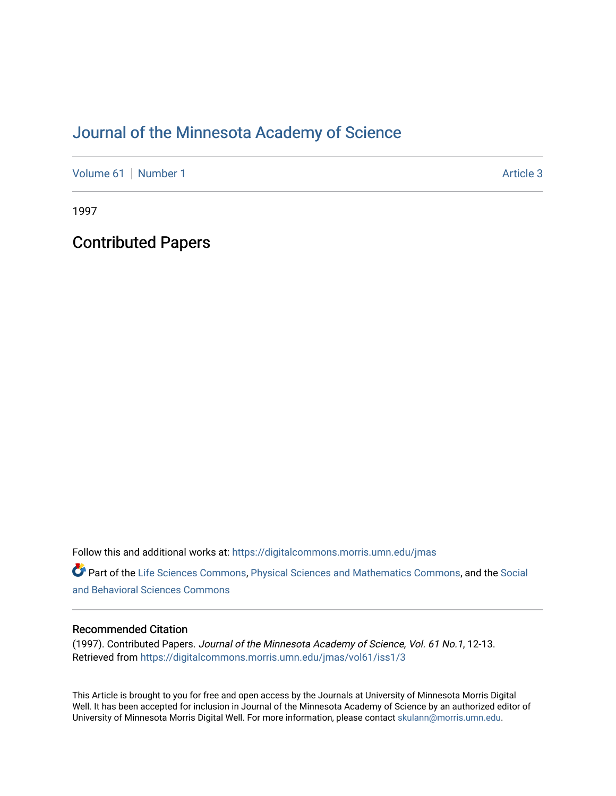## [Journal of the Minnesota Academy of Science](https://digitalcommons.morris.umn.edu/jmas)

[Volume 61](https://digitalcommons.morris.umn.edu/jmas/vol61) [Number 1](https://digitalcommons.morris.umn.edu/jmas/vol61/iss1) Article 3

1997

Contributed Papers

Follow this and additional works at: [https://digitalcommons.morris.umn.edu/jmas](https://digitalcommons.morris.umn.edu/jmas?utm_source=digitalcommons.morris.umn.edu%2Fjmas%2Fvol61%2Fiss1%2F3&utm_medium=PDF&utm_campaign=PDFCoverPages) 

Part of the [Life Sciences Commons,](https://network.bepress.com/hgg/discipline/1016?utm_source=digitalcommons.morris.umn.edu%2Fjmas%2Fvol61%2Fiss1%2F3&utm_medium=PDF&utm_campaign=PDFCoverPages) [Physical Sciences and Mathematics Commons,](https://network.bepress.com/hgg/discipline/114?utm_source=digitalcommons.morris.umn.edu%2Fjmas%2Fvol61%2Fiss1%2F3&utm_medium=PDF&utm_campaign=PDFCoverPages) and the [Social](https://network.bepress.com/hgg/discipline/316?utm_source=digitalcommons.morris.umn.edu%2Fjmas%2Fvol61%2Fiss1%2F3&utm_medium=PDF&utm_campaign=PDFCoverPages)  [and Behavioral Sciences Commons](https://network.bepress.com/hgg/discipline/316?utm_source=digitalcommons.morris.umn.edu%2Fjmas%2Fvol61%2Fiss1%2F3&utm_medium=PDF&utm_campaign=PDFCoverPages) 

### Recommended Citation

(1997). Contributed Papers. Journal of the Minnesota Academy of Science, Vol. 61 No.1, 12-13. Retrieved from [https://digitalcommons.morris.umn.edu/jmas/vol61/iss1/3](https://digitalcommons.morris.umn.edu/jmas/vol61/iss1/3?utm_source=digitalcommons.morris.umn.edu%2Fjmas%2Fvol61%2Fiss1%2F3&utm_medium=PDF&utm_campaign=PDFCoverPages)

This Article is brought to you for free and open access by the Journals at University of Minnesota Morris Digital Well. It has been accepted for inclusion in Journal of the Minnesota Academy of Science by an authorized editor of University of Minnesota Morris Digital Well. For more information, please contact [skulann@morris.umn.edu](mailto:skulann@morris.umn.edu).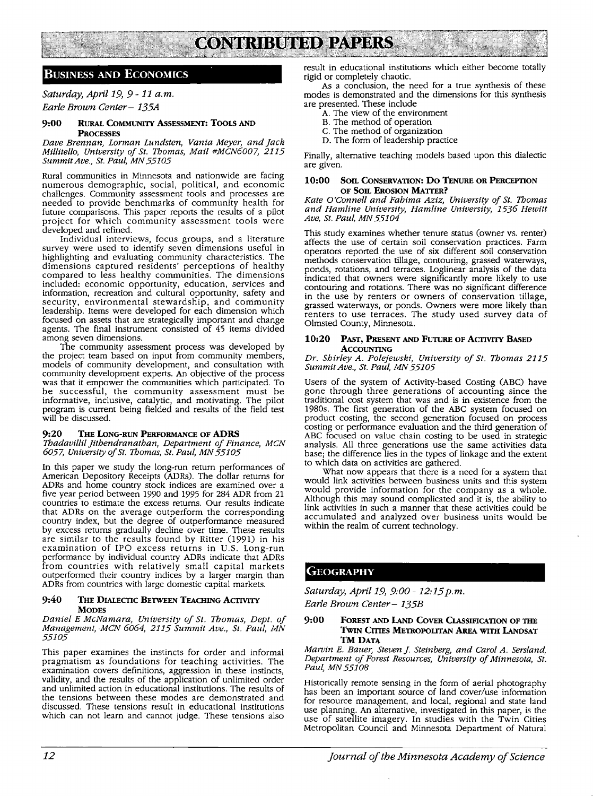# **CONTRIBUTED PAPERS**

## **BUSINESS AND ECONOMICS**

## *Saturday, April 19, 9-11 a.m.*

*Earle Brown Center- 135A* 

#### **9:00 RURAL COMMUNITY ASSESSMENT: TOOLS AND PROCESSES**

*Dave Brennan, Lorman Lundsten, Vania Meyer, and Jack Millitello, University of St. Thomas, Mail #MCN6007, 2115 Summit Ave., St. Paul, MN 55105* 

Rural communities in Minnesota and nationwide are facing numerous demographic, social, political, and economic challenges. Community assessment tools and processes are needed to provide benchmarks of community health for future comparisons. This paper reports the results of a pilot project for which community assessment tools were developed and refined.

Individual interviews, focus groups, and a literature survey were used to identify seven dimensions useful in highlighting and evaluating community characteristics. The dimensions captured residents' perceptions of healthy compared to less healthy communities. The dimensions included: economic opportunity, education, services and information recreation and cultural opportunity, safety and security, environmental stewardship, and community leadership. Items were developed for each dimension which focused on assets that are strategically important and change agents. The final instrument consisted of 45 items divided among seven dimensions.

The community assessment process was developed by the project team based on input from community members, models of community development, and consultation with community development experts. An objective of the process was that it empower the communities which participated. To be successful, the community assessment must be informative, inclusive, catalytic, and motivating. The pilot program is current being fielded and results of the field test will be discussed.

#### 9:20 THE LONG-RUN PERFORMANCE OF ADRS

*Tbadavillil Jitbendranathan, Department of Finance, MCN 6057, University of St. Tbomas, St. Paul, MN 55105* 

In this paper we study the long-run return performances of American Depository Receipts (ADRs). The dollar returns for ADRs and home country stock indices are examined over a five year period between 1990 and 1995 for 284 ADR from 21 countries to estimate the excess returns. Our results indicate that ADRs on the average outperform the corresponding country index, but the degree of outperformance measured<br>by excess returns gradually decline over time. These results are similar to the results found by Ritter (1991) in his examination of IPO excess returns in U.S. Long-run performance by individual country ADRs indicate that ADRs from countries with relatively small capital markets outperformed their country indices by a larger margin than ADRs from countries with large domestic capital markets.

#### 9:40 THE DIALECTIC BETWEEN TEACHING ACTIVITY **MODES**

*Daniel E McNamara, University of St. Thomas, Dept. of Management, MCN 6064, 2115 Summit Ave., St. Paul, MN 55105* 

This paper examines the instincts for order and informal pragmatism as foundations for teaching activities. The examination covers definitions, aggression in these instincts, validity, and the results of the application of unlimited order and unlimited action in educational institutions. The results of the tensions between these modes are demonstrated and discussed. These tensions result in educational institutions which can not learn and cannot judge. These tensions also result in educational institutions which either become totally rigid or completely chaotic.

As a conclusion, the need for a true synthesis of these modes is demonstrated and the dimensions for this synthesis are presented. These include

- A. The view of the environment
- B. The method of operation
- C. The method of organization
- D. The form of leadership practice

Finally, alternative teaching models based upon this dialectic are given.

#### **10:00 Son CONSERVATION: Do TENURE OR PERCEPTION OF Son. EROSION MATTER?**

*Kate O'Connell and Fahima Aziz, University of St. Tbomas and Hamline University, Hamline University, 1536 Hewitt Ave, St. Paul, MN 55104* 

This study examines whether tenure status (owner vs. renter) affects the use of certain soil conservation practices. Farm operators reported the use of six different soil conservation methods conservation tillage, contouring, grassed waterways, ponds, rotations, and terraces. Loglinear analysis of the data indicated that owners were significantly more likely to use contouring and rotations. There was no significant difference in the use by renters or owners of conservation tillage, grassed waterways, or ponds. Owners were more likely than renters to use terraces. The study used survey data of Olmsted County, Minnesota.

#### 10:20 PAST, PRESENT AND FUTURE OF ACTIVITY BASED **ACCOUNTING**

*Dr. Shirley A. Polejewski, University of St. Thomas 2115 Summit Ave., St. Paul, MN 55105* 

Users of the system of Activity-based Costing (ABC) have gone through three generations of accounting since the traditional cost system that was and is in existence from the 1980s. The first generation of the ABC system focused on product costing, the second generation focused on process costing or performance evaluation and the third generation of ABC focused on value chain costing to be used in strategic analysis. All three generations use the same activities data base; the difference lies in the types of linkage and the extent to which data on activities are gathered.

What now appears that there is a need for a system that would link activities between business units and this system would provide information for the company as a whole. Although this may sound complicated and it is, the ability to link activities in such a manner that these activities could be accumulated and analyzed over business units would be within the realm of current technology.

## **GEOGRAPHY**

*Saturday, April 19, 9:00- 12:15 p.m.* 

*Earle Brown Center- 135B* 

#### **9:00 FOREST AND LAND COVER CIASSIFICATION OF THE 1'wJN CITIES METROPOLITAN AREA WITH LANDSAT TM DATA**

*Marvin E. Bauer, Steven j. Steinberg, and Carol A. Sers/and, Department of Forest Resources, University of Minnesota, St. Paul, MN 55108* 

Historically remote sensing in the form of aerial photography has been an important source of land cover/use information for resource management, and local, regional and state land use planning. An alternative, investigated in this paper, is the use of satellite imagery. In studies with the Twin Cities Metropolitan Council and Minnesota Department of Natural